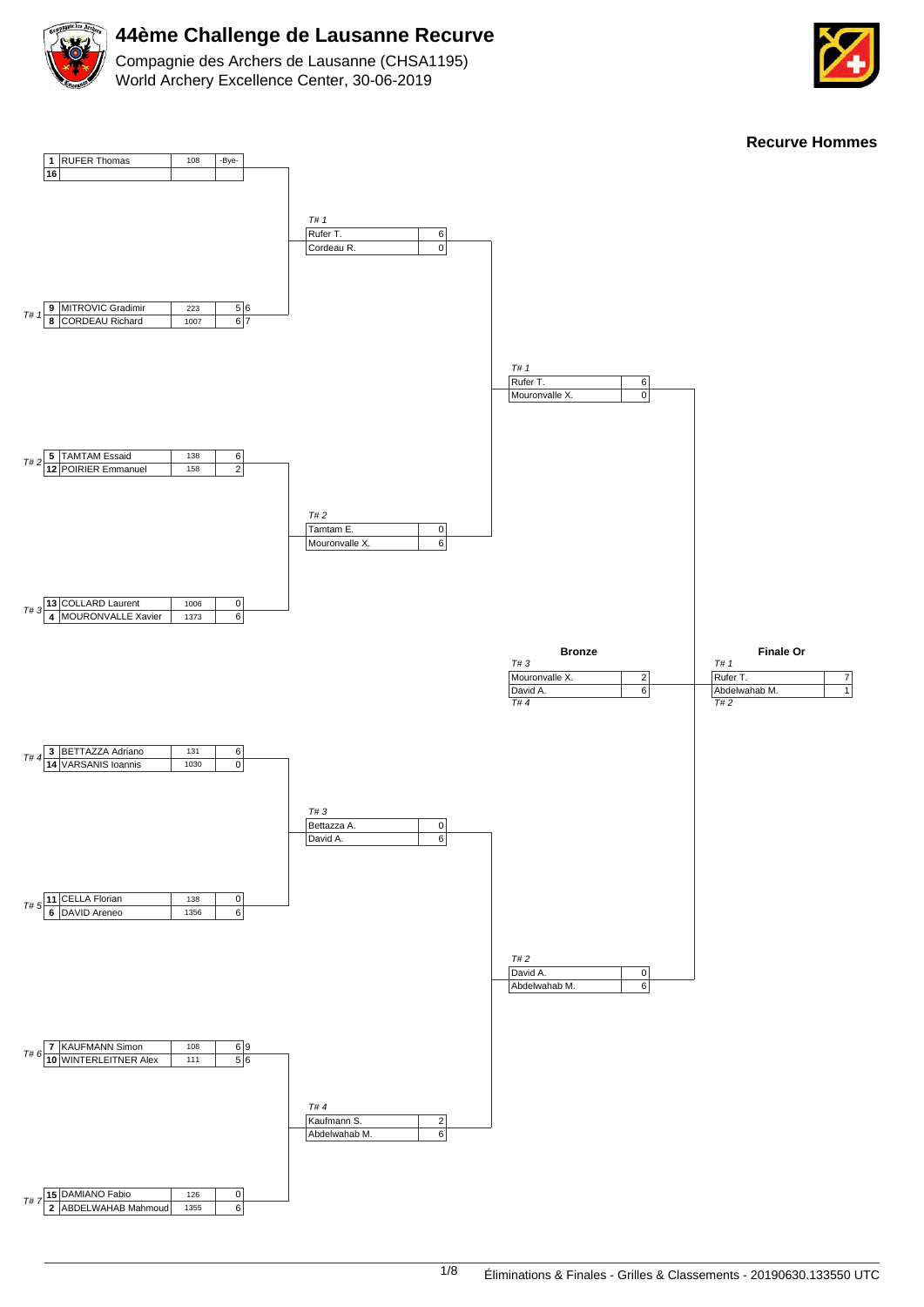

Compagnie des Archers de Lausanne (CHSA1195) World Archery Excellence Center, 30-06-2019



**Recurve Hommes**

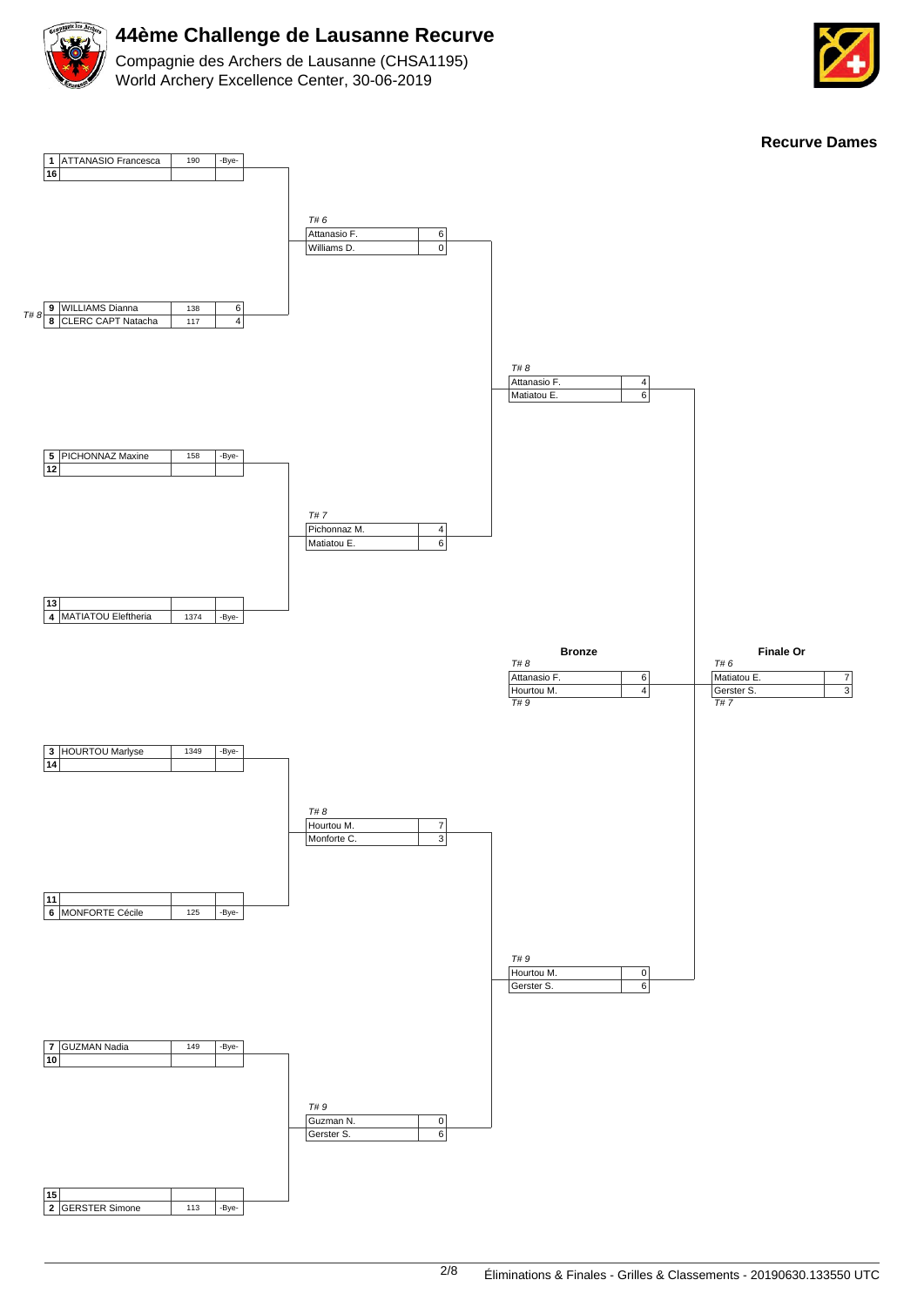

Compagnie des Archers de Lausanne (CHSA1195) World Archery Excellence Center, 30-06-2019



**Recurve Dames**

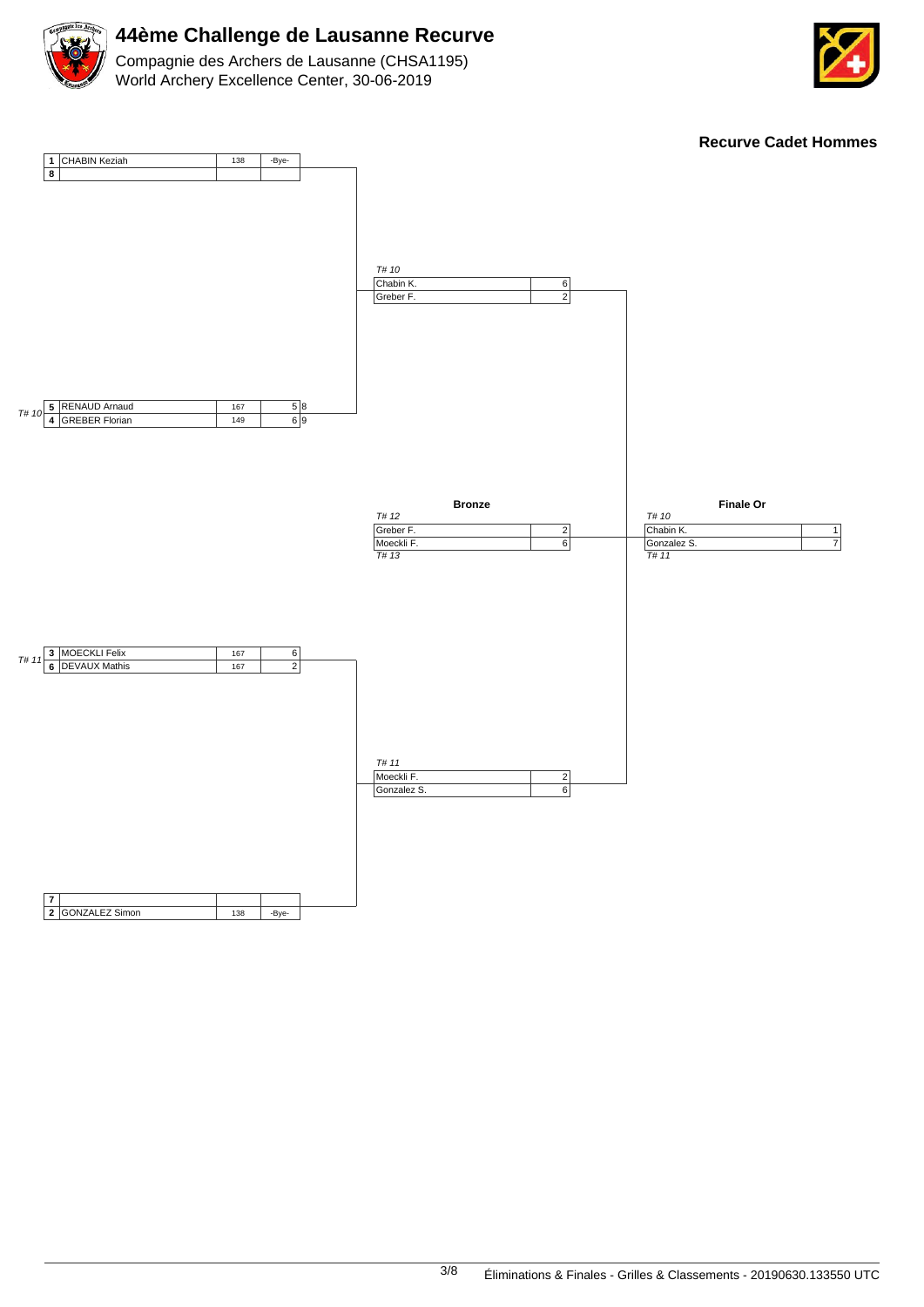





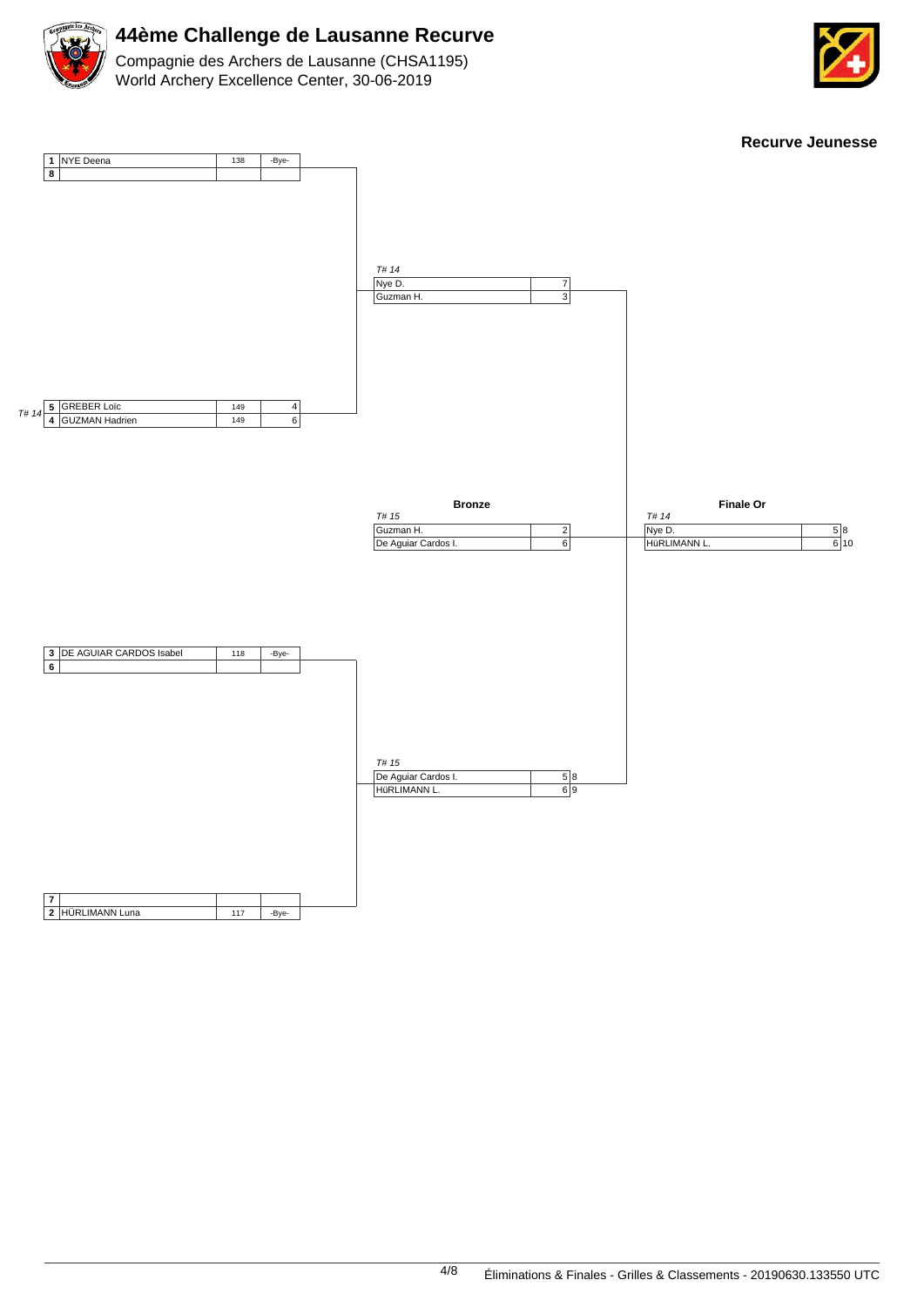

Compagnie des Archers de Lausanne (CHSA1195) World Archery Excellence Center, 30-06-2019



**Recurve Jeunesse 1 8** NYE Deena 138 -Bye-T# 14 **<sup>5</sup> 4** GUZMAN Hadrien 5 GREBER Loïc 149  $\frac{1}{149}$ 4  $\overline{6}$ **3 6** DE AGUIAR CARDOS Isabel | 118 | -Bye-**7 2** HÜRLIMANN Luna 117 | -Bye-T# 14 Nye D. Guzman H. 7 3 T# 15 De Aguiar Cardos I. HüRLIMANN L. 5 8 6 9 **Bronze** T# 15 Guzman H. De Aguiar Cardos I. 2 6 **Finale Or** T# 14 Nye D. HüRLIMANN L. 5 6 8 10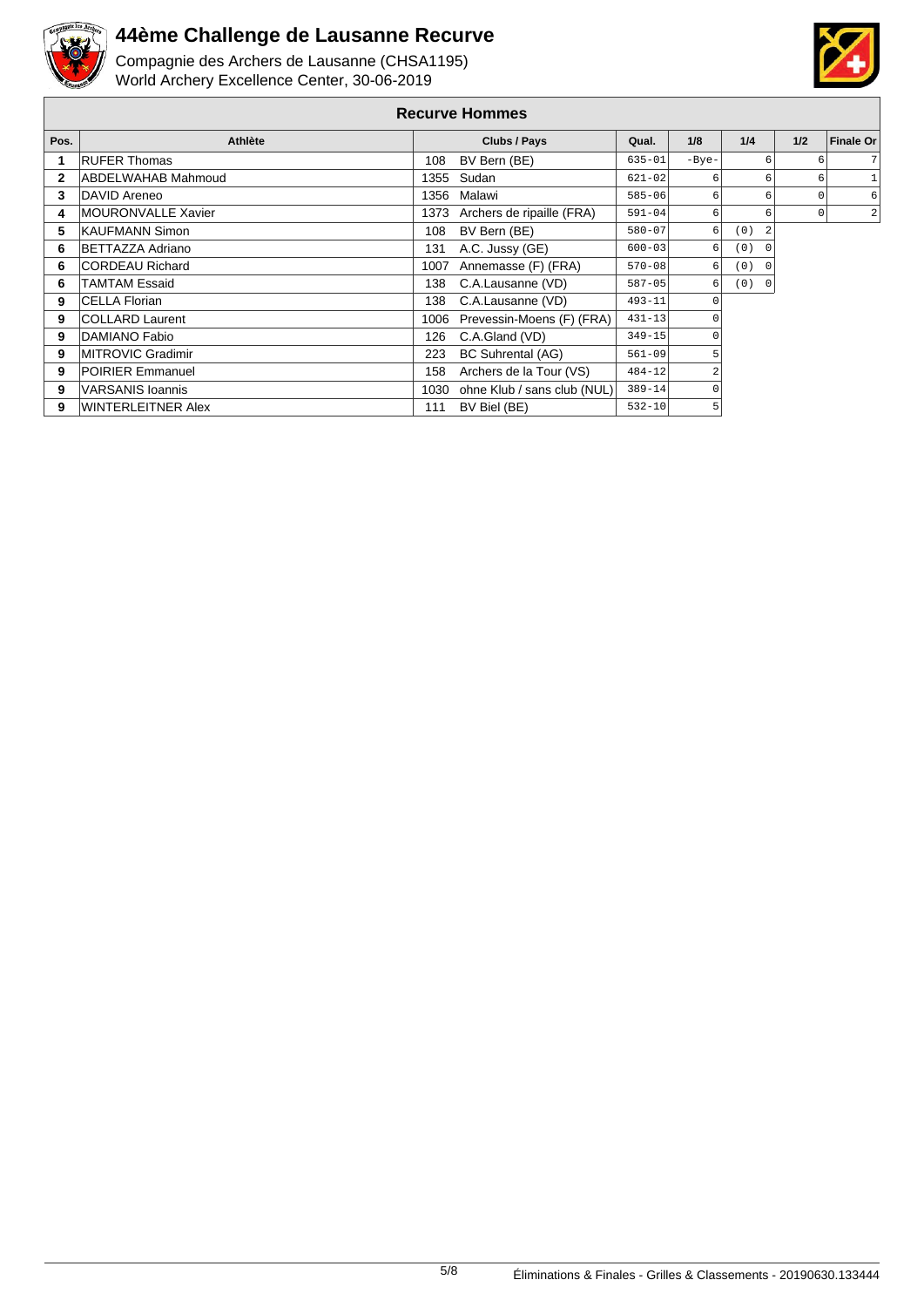



| <b>Recurve Hommes</b> |                           |              |                                  |            |         |                 |     |                  |
|-----------------------|---------------------------|--------------|----------------------------------|------------|---------|-----------------|-----|------------------|
| Pos.                  | Athlète                   | Clubs / Pays |                                  | Qual.      | 1/8     | 1/4             | 1/2 | <b>Finale Or</b> |
|                       | <b>RUFER Thomas</b>       | 108          | BV Bern (BE)                     | $635 - 01$ | $-Bye-$ | 6               |     | 7 <sup>1</sup>   |
| $\mathbf{2}$          | <b>ABDELWAHAB Mahmoud</b> |              | 1355 Sudan                       | $621 - 02$ | 6       | 6               | 6   |                  |
| 3                     | DAVID Areneo              |              | 1356 Malawi                      | $585 - 06$ | 6       |                 |     | 6                |
| 4                     | MOURONVALLE Xavier        |              | 1373 Archers de ripaille (FRA)   | $591 - 04$ | 6       |                 |     | $\overline{2}$   |
| 5                     | KAUFMANN Simon            | 108          | BV Bern (BE)                     | $580 - 07$ | 6       | (0)             |     |                  |
| 6                     | <b>BETTAZZA Adriano</b>   | 131          | A.C. Jussy (GE)                  | $600 - 03$ | 6       | (0)<br>$\Omega$ |     |                  |
| 6                     | <b>CORDEAU Richard</b>    |              | 1007 Annemasse (F) (FRA)         | $570 - 08$ | 6       | (0)<br>- 0      |     |                  |
| 6                     | <b>TAMTAM Essaid</b>      | 138          | C.A.Lausanne (VD)                | $587 - 05$ | 6       | (0) 0           |     |                  |
| 9                     | <b>CELLA Florian</b>      | 138          | C.A.Lausanne (VD)                | $493 - 11$ | O       |                 |     |                  |
| 9                     | <b>COLLARD Laurent</b>    |              | 1006 Prevessin-Moens (F) (FRA)   | $431 - 13$ |         |                 |     |                  |
| 9                     | DAMIANO Fabio             | 126          | C.A.Gland (VD)                   | $349 - 15$ |         |                 |     |                  |
| 9                     | MITROVIC Gradimir         | 223          | BC Suhrental (AG)                | $561 - 09$ |         |                 |     |                  |
| 9                     | <b>POIRIER Emmanuel</b>   | 158          | Archers de la Tour (VS)          | $484 - 12$ |         |                 |     |                  |
| 9                     | VARSANIS Ioannis          |              | 1030 ohne Klub / sans club (NUL) | $389 - 14$ |         |                 |     |                  |
| 9                     | WINTERLEITNER Alex        | 111          | BV Biel (BE)                     | $532 - 10$ | 5       |                 |     |                  |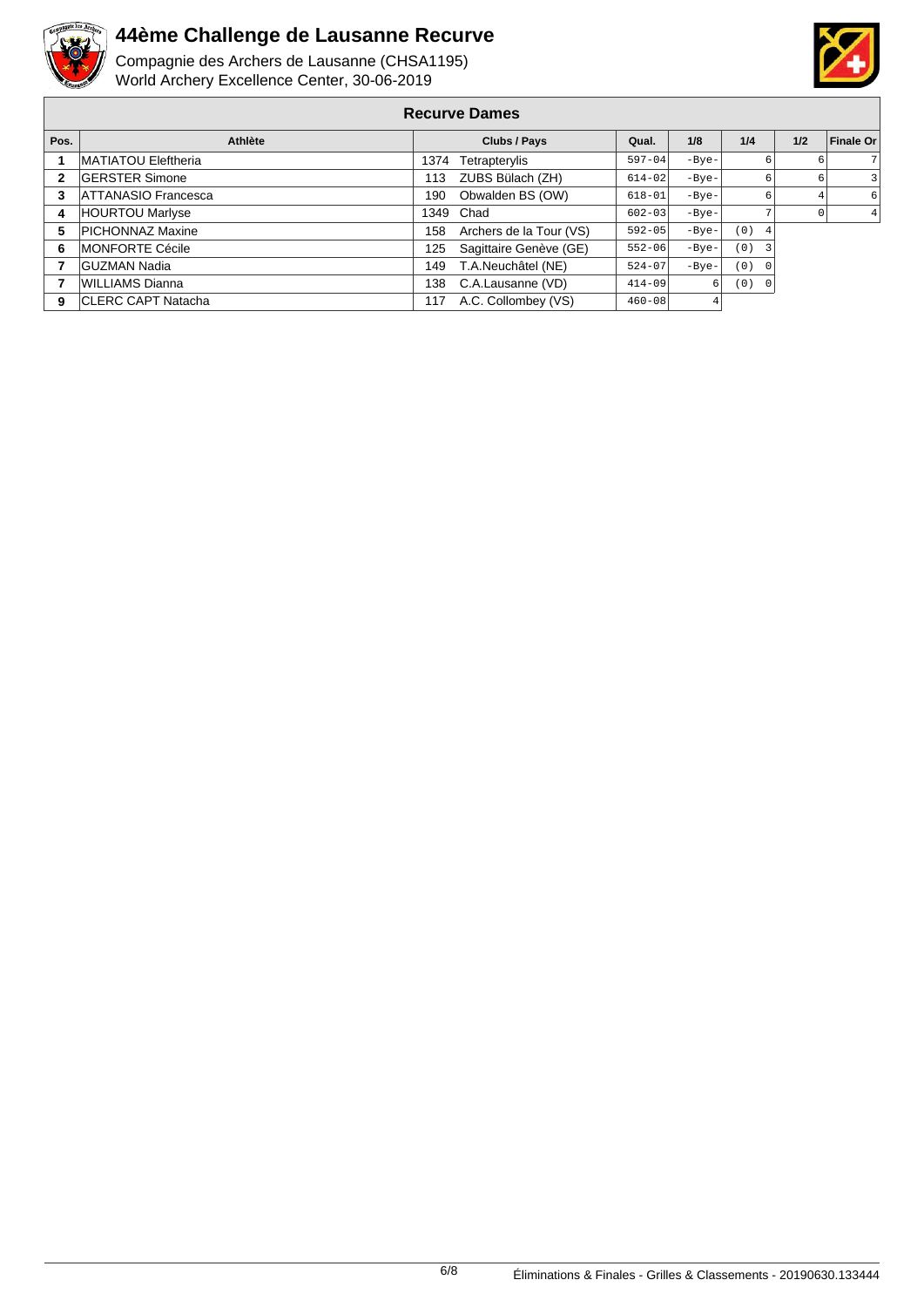



| <b>Recurve Dames</b> |                             |              |                         |            |         |                       |     |                  |
|----------------------|-----------------------------|--------------|-------------------------|------------|---------|-----------------------|-----|------------------|
| Pos.                 | Athlète                     | Clubs / Pays |                         | Qual.      | 1/8     | 1/4                   | 1/2 | <b>Finale Or</b> |
|                      | <b>IMATIATOU Eleftheria</b> | 1374         | Tetrapterylis           | $597 - 04$ | $-Bye-$ | 6                     |     |                  |
| $\mathbf{2}$         | <b>GERSTER Simone</b>       | 113          | ZUBS Bülach (ZH)        | $614 - 02$ | $-Bye-$ | 6                     |     |                  |
| 3                    | <b>ATTANASIO Francesca</b>  | 190          | Obwalden BS (OW)        | $618 - 01$ | $-Bye-$ | 6                     |     |                  |
| 4                    | <b>HOURTOU Marlyse</b>      |              | 1349 Chad               | $602 - 03$ | $-Bye-$ |                       |     |                  |
| 5                    | <b>PICHONNAZ Maxine</b>     | 158          | Archers de la Tour (VS) | $592 - 05$ | $-Bye-$ | (0)<br>4              |     |                  |
| 6                    | <b>IMONFORTE Cécile</b>     | 125          | Sagittaire Genève (GE)  | $552 - 06$ | $-Bye-$ | (0)<br>3              |     |                  |
| 7                    | <b>GUZMAN Nadia</b>         | 149          | T.A.Neuchâtel (NE)      | $524 - 07$ | $-Bye-$ | (0)<br>$\overline{0}$ |     |                  |
|                      | WILLIAMS Dianna             | 138          | C.A.Lausanne (VD)       | $414 - 09$ | 6       | (0)<br>$\overline{0}$ |     |                  |
| 9                    | <b>ICLERC CAPT Natacha</b>  | 117          | A.C. Collombey (VS)     | $460 - 08$ |         |                       |     |                  |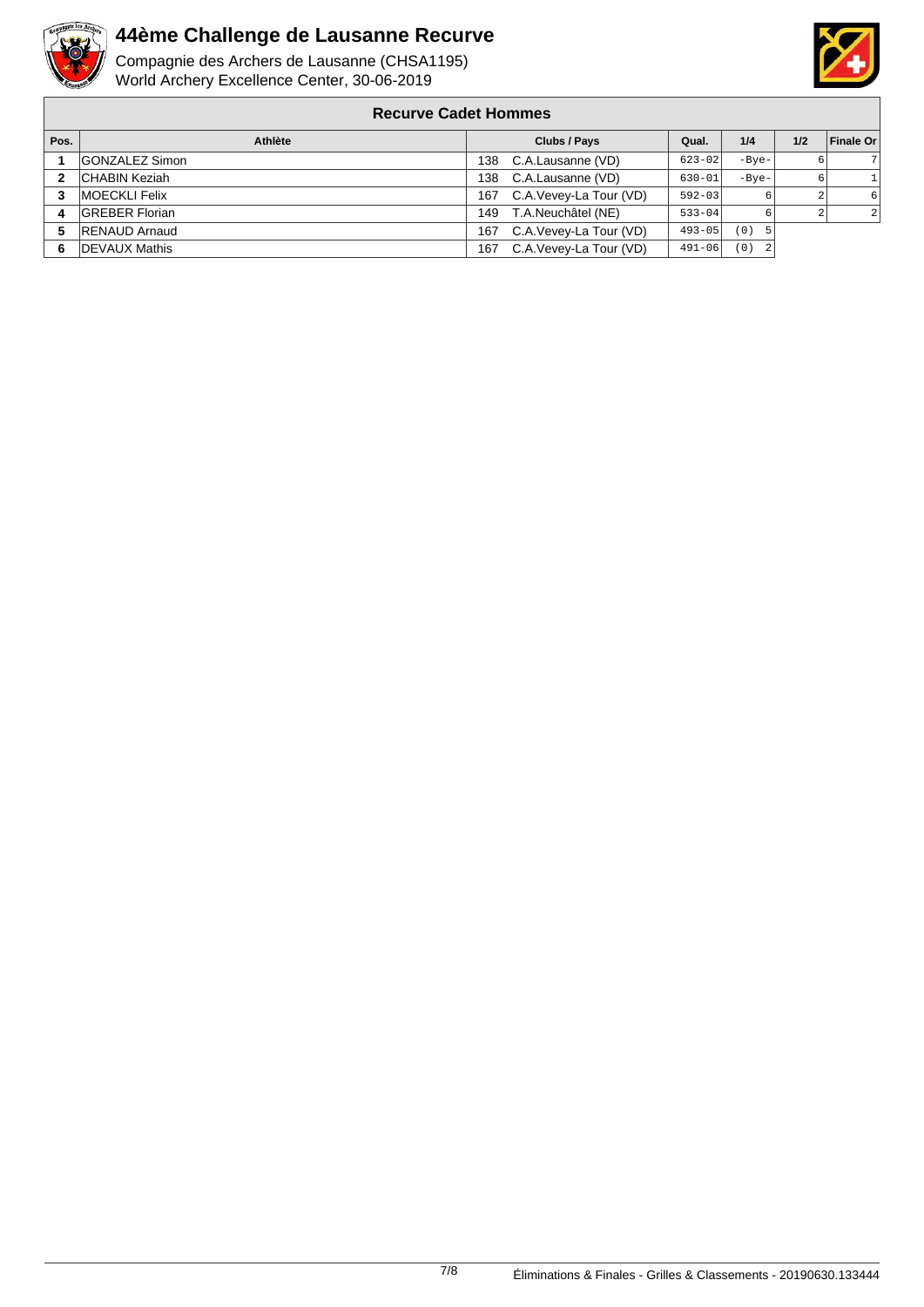

Compagnie des Archers de Lausanne (CHSA1195) World Archery Excellence Center, 30-06-2019



#### **Recurve Cadet Hommes**

| Pos. | Athlète               | Clubs / Pays                  | Qual.      | 1/4        | 1/2 | Finale Or      |
|------|-----------------------|-------------------------------|------------|------------|-----|----------------|
|      | <b>GONZALEZ Simon</b> | C.A.Lausanne (VD)<br>138.     | $623 - 02$ | $-Bve-$    |     |                |
|      | <b>CHABIN Keziah</b>  | C.A.Lausanne (VD)<br>138      | $630 - 01$ | $-Bve-$    | 6.  |                |
|      | <b>IMOECKLI Felix</b> | C.A.Vevey-La Tour (VD)<br>167 | $592 - 03$ |            |     | 6 <sup>1</sup> |
|      | <b>GREBER Florian</b> | T.A.Neuchâtel (NE)<br>149     | $533 - 04$ |            |     | $\overline{2}$ |
|      | <b>RENAUD Arnaud</b>  | C.A.Vevey-La Tour (VD)<br>167 | $493 - 05$ | (0)<br>- 5 |     |                |
| -6   | <b>IDEVAUX Mathis</b> | C.A.Vevey-La Tour (VD)<br>167 | $491 - 06$ | (0)<br>- 2 |     |                |